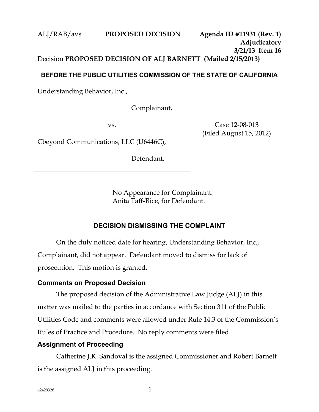## ALJ/RAB/avs **PROPOSED DECISION Agenda ID #11931 (Rev. 1) Adjudicatory 3/21/13 Item 16** Decision **PROPOSED DECISION OF ALJ BARNETT (Mailed 2/15/2013)**

#### **BEFORE THE PUBLIC UTILITIES COMMISSION OF THE STATE OF CALIFORNIA**

Understanding Behavior, Inc.,

Complainant,

vs.

Cbeyond Communications, LLC (U6446C),

Defendant.

Case 12-08-013 (Filed August 15, 2012)

No Appearance for Complainant. Anita Taff-Rice, for Defendant.

## **DECISION DISMISSING THE COMPLAINT**

On the duly noticed date for hearing, Understanding Behavior, Inc., Complainant, did not appear. Defendant moved to dismiss for lack of prosecution. This motion is granted.

#### **Comments on Proposed Decision**

The proposed decision of the Administrative Law Judge (ALJ) in this matter was mailed to the parties in accordance with Section 311 of the Public Utilities Code and comments were allowed under Rule 14.3 of the Commission's Rules of Practice and Procedure. No reply comments were filed.

#### **Assignment of Proceeding**

Catherine J.K. Sandoval is the assigned Commissioner and Robert Barnett is the assigned ALJ in this proceeding.